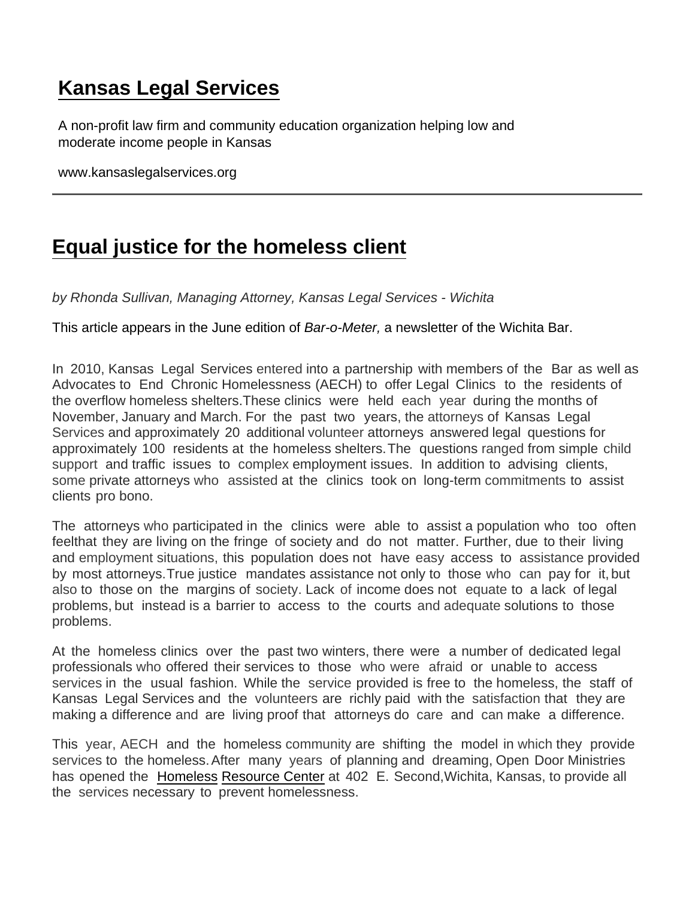## [Kansas Legal Services](https://www.kansaslegalservices.org/)

A non-profit law firm and community education organization helping low and moderate income people in Kansas

www.kansaslegalservices.org

## [Equal justice for the homeless client](https://www.kansaslegalservices.org/node/1376/equal-justice-homeless-client)

by Rhonda Sullivan, Managing Attorney, Kansas Legal Services - Wichita

This article appears in the June edition of Bar-o-Meter, a newsletter of the Wichita Bar.

In 2010, Kansas Legal Services entered into a partnership with members of the Bar as well as Advocates to End Chronic Homelessness (AECH) to offer Legal Clinics to the residents of the overflow homeless shelters.These clinics were held each year during the months of November, January and March. For the past two years, the attorneys of Kansas Legal Services and approximately 20 additional volunteer attorneys answered legal questions for approximately 100 residents at the homeless shelters.The questions ranged from simple child support and traffic issues to complex employment issues. In addition to advising clients, some private attorneys who assisted at the clinics took on long-term commitments to assist clients pro bono.

The attorneys who participated in the clinics were able to assist a population who too often feelthat they are living on the fringe of society and do not matter. Further, due to their living and employment situations, this population does not have easy access to assistance provided by most attorneys.True justice mandates assistance not only to those who can pay for it, but also to those on the margins of society. Lack of income does not equate to a lack of legal problems, but instead is a barrier to access to the courts and adequate solutions to those problems.

At the homeless clinics over the past two winters, there were a number of dedicated legal professionals who offered their services to those who were afraid or unable to access services in the usual fashion. While the service provided is free to the homeless, the staff of Kansas Legal Services and the volunteers are richly paid with the satisfaction that they are making a difference and are living proof that attorneys do care and can make a difference.

This year, AECH and the homeless community are shifting the model in which they provide services to the homeless.After many years of planning and dreaming, Open Door Ministries has opened the [Homeless](http://www.umopendoor.org/shelter.html) [Resource Center](http://www.umopendoor.org/shelter.html) at 402 E. Second, Wichita, Kansas, to provide all the services necessary to prevent homelessness.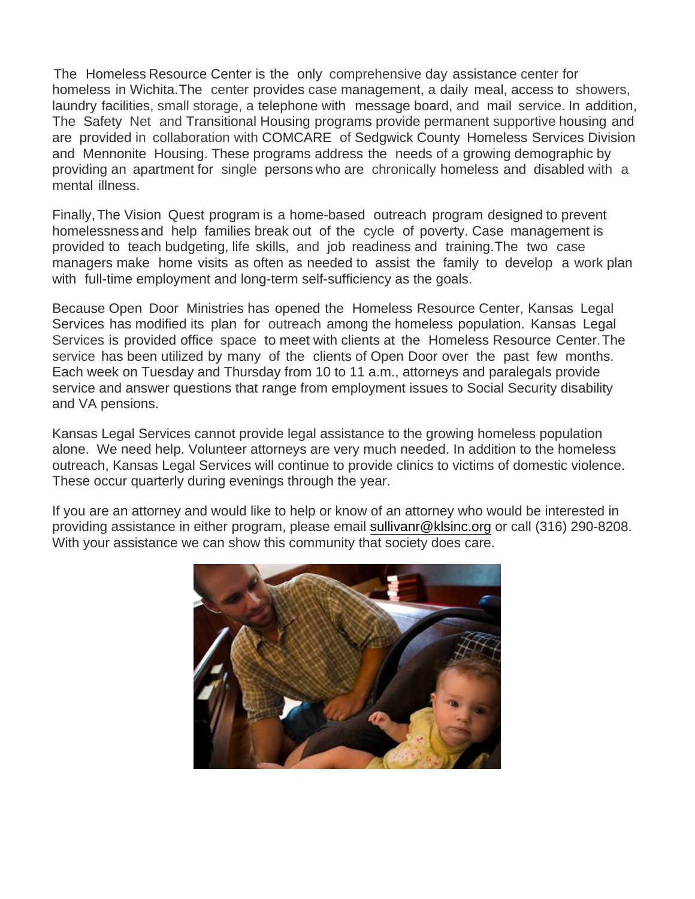The Homeless Resource Center is the only comprehensive day assistance center for homeless in Wichita.The center provides case management, a daily meal, access to showers, laundry facilities, small storage, a telephone with message board, and mail service. In addition, The Safety Net and Transitional Housing programs provide permanent supportive housing and are provided in collaboration with COMCARE of Sedgwick County Homeless Services Division and Mennonite Housing. These programs address the needs of a growing demographic by providing an apartment for single persons who are chronically homeless and disabled with a mental illness.

Finally,The Vision Quest program is a home-based outreach program designed to prevent homelessnessand help families break out of the cycle of poverty. Case management is provided to teach budgeting, life skills, and job readiness and training.The two case managers make home visits as often as needed to assist the family to develop a work plan with full-time employment and long-term self-sufficiency as the goals.

Because Open Door Ministries has opened the Homeless Resource Center, Kansas Legal Services has modified its plan for outreach among the homeless population. Kansas Legal Services is provided office space to meet with clients at the Homeless Resource Center.The service has been utilized by many of the clients of Open Door over the past few months. Each week on Tuesday and Thursday from 10 to 11 a.m., attorneys and paralegals provide service and answer questions that range from employment issues to Social Security disability and VA pensions.

Kansas Legal Services cannot provide legal assistance to the growing homeless population alone. We need help. Volunteer attorneys are very much needed. In addition to the homeless outreach, Kansas Legal Services will continue to provide clinics to victims of domestic violence. These occur quarterly during evenings through the year.

If you are an attorney and would like to help or know of an attorney who would be interested in providing assistance in either program, please email [sullivanr@klsinc.org](mailto:sullivanr@klsinc.org) or call (316) 290-8208. With your assistance we can show this community that society does care.